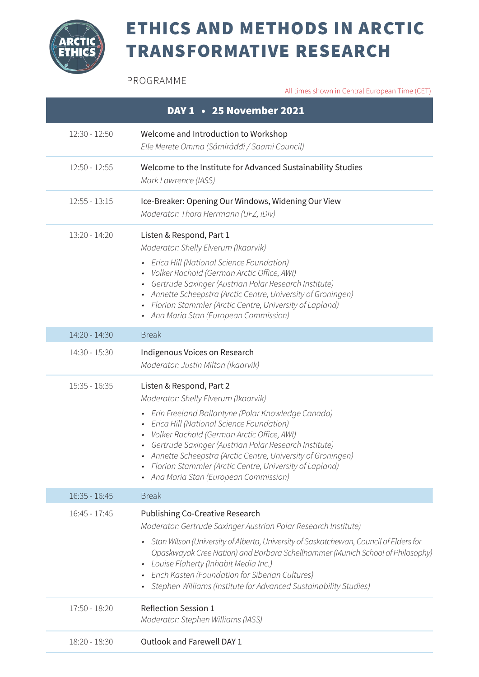

## ETHICS AND METHODS IN ARCTIC TRANSFORMATIVE RESEARCH

PROGRAMME

All times shown in Central European Time (CET)

| DAY 1 • 25 November 2021 |                                                                                                                                                                                                                                                                                                                                                                                                                                                             |  |
|--------------------------|-------------------------------------------------------------------------------------------------------------------------------------------------------------------------------------------------------------------------------------------------------------------------------------------------------------------------------------------------------------------------------------------------------------------------------------------------------------|--|
| $12:30 - 12:50$          | Welcome and Introduction to Workshop<br>Elle Merete Omma (Sámiráddi / Saami Council)                                                                                                                                                                                                                                                                                                                                                                        |  |
| $12:50 - 12:55$          | Welcome to the Institute for Advanced Sustainability Studies<br>Mark Lawrence (IASS)                                                                                                                                                                                                                                                                                                                                                                        |  |
| $12:55 - 13:15$          | Ice-Breaker: Opening Our Windows, Widening Our View<br>Moderator: Thora Herrmann (UFZ, iDiv)                                                                                                                                                                                                                                                                                                                                                                |  |
| $13:20 - 14:20$          | Listen & Respond, Part 1<br>Moderator: Shelly Elverum (Ikaarvik)<br>• Erica Hill (National Science Foundation)<br>• Volker Rachold (German Arctic Office, AWI)<br>• Gertrude Saxinger (Austrian Polar Research Institute)<br>• Annette Scheepstra (Arctic Centre, University of Groningen)<br>• Florian Stammler (Arctic Centre, University of Lapland)<br>• Ana Maria Stan (European Commission)                                                           |  |
| 14:20 - 14:30            | <b>Break</b>                                                                                                                                                                                                                                                                                                                                                                                                                                                |  |
| 14:30 - 15:30            | Indigenous Voices on Research<br>Moderator: Justin Milton (Ikaarvik)                                                                                                                                                                                                                                                                                                                                                                                        |  |
| $15:35 - 16:35$          | Listen & Respond, Part 2<br>Moderator: Shelly Elverum (Ikaarvik)<br>• Erin Freeland Ballantyne (Polar Knowledge Canada)<br>• Erica Hill (National Science Foundation)<br>· Volker Rachold (German Arctic Office, AWI)<br>• Gertrude Saxinger (Austrian Polar Research Institute)<br>• Annette Scheepstra (Arctic Centre, University of Groningen)<br>• Florian Stammler (Arctic Centre, University of Lapland)<br>• Ana Maria Stan (European Commission)    |  |
| $16:35 - 16:45$          | <b>Break</b>                                                                                                                                                                                                                                                                                                                                                                                                                                                |  |
| $16:45 - 17:45$          | Publishing Co-Creative Research<br>Moderator: Gertrude Saxinger Austrian Polar Research Institute)<br>Stan Wilson (University of Alberta, University of Saskatchewan, Council of Elders for<br>Opaskwayak Cree Nation) and Barbara Schellhammer (Munich School of Philosophy)<br>Louise Flaherty (Inhabit Media Inc.)<br>$\bullet$<br>• Erich Kasten (Foundation for Siberian Cultures)<br>Stephen Williams (Institute for Advanced Sustainability Studies) |  |
| 17:50 - 18:20            | <b>Reflection Session 1</b><br>Moderator: Stephen Williams (IASS)                                                                                                                                                                                                                                                                                                                                                                                           |  |
| 18:20 - 18:30            | Outlook and Farewell DAY 1                                                                                                                                                                                                                                                                                                                                                                                                                                  |  |